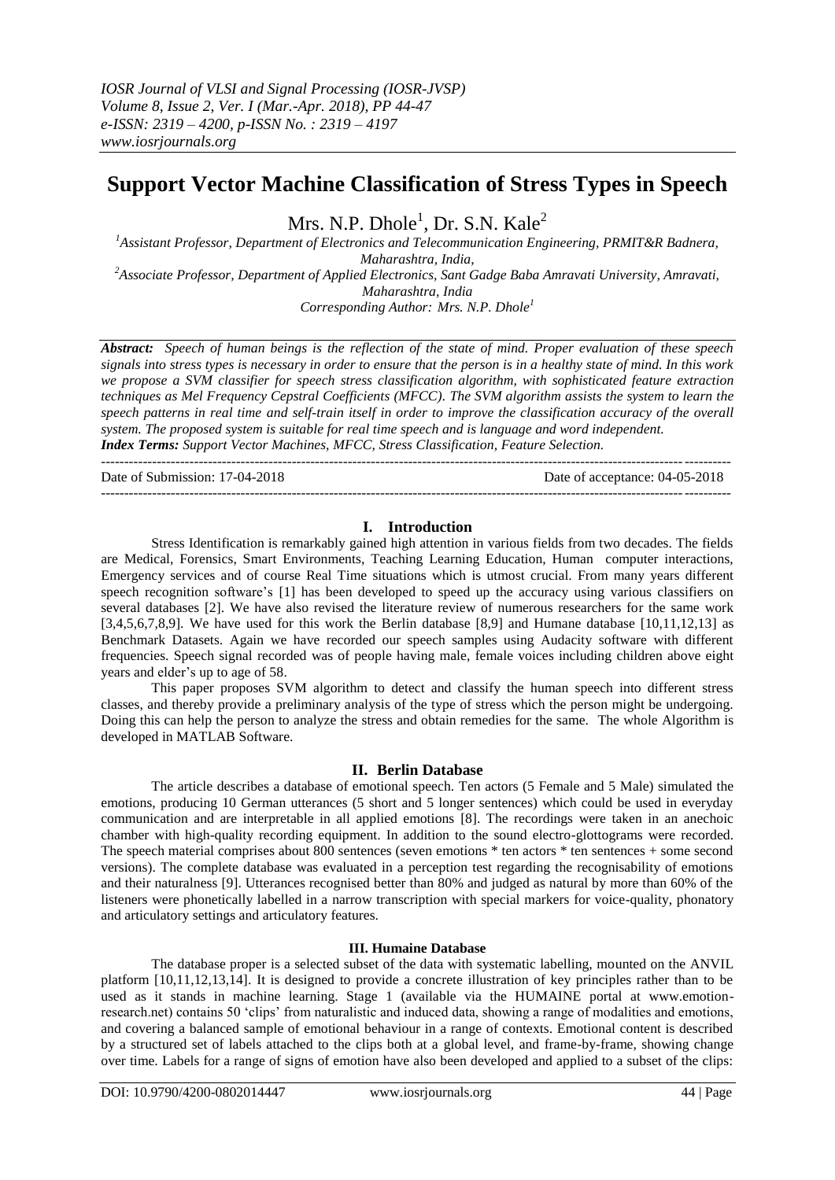# **Support Vector Machine Classification of Stress Types in Speech**

Mrs. N.P. Dhole $^1$ , Dr. S.N. Kale $^2$ 

*<sup>1</sup>Assistant Professor, Department of Electronics and Telecommunication Engineering, PRMIT&R Badnera, Maharashtra, India, <sup>2</sup>Associate Professor, Department of Applied Electronics, Sant Gadge Baba Amravati University, Amravati, Maharashtra, India Corresponding Author: Mrs. N.P. Dhole<sup>1</sup>*

*Abstract: Speech of human beings is the reflection of the state of mind. Proper evaluation of these speech signals into stress types is necessary in order to ensure that the person is in a healthy state of mind. In this work we propose a SVM classifier for speech stress classification algorithm, with sophisticated feature extraction techniques as Mel Frequency Cepstral Coefficients (MFCC). The SVM algorithm assists the system to learn the speech patterns in real time and self-train itself in order to improve the classification accuracy of the overall system. The proposed system is suitable for real time speech and is language and word independent.*

*Index Terms: Support Vector Machines, MFCC, Stress Classification, Feature Selection.* ---------------------------------------------------------------------------------------------------------------------------------------

Date of Submission: 17-04-2018 Date of acceptance: 04-05-2018

 $-1-\frac{1}{2}$ 

### **I. Introduction**

Stress Identification is remarkably gained high attention in various fields from two decades. The fields are Medical, Forensics, Smart Environments, Teaching Learning Education, Human computer interactions, Emergency services and of course Real Time situations which is utmost crucial. From many years different speech recognition software's [1] has been developed to speed up the accuracy using various classifiers on several databases [2]. We have also revised the literature review of numerous researchers for the same work  $[3,4,5,6,7,8,9]$ . We have used for this work the Berlin database  $[8,9]$  and Humane database  $[10,11,12,13]$  as Benchmark Datasets. Again we have recorded our speech samples using Audacity software with different frequencies. Speech signal recorded was of people having male, female voices including children above eight years and elder"s up to age of 58.

This paper proposes SVM algorithm to detect and classify the human speech into different stress classes, and thereby provide a preliminary analysis of the type of stress which the person might be undergoing. Doing this can help the person to analyze the stress and obtain remedies for the same. The whole Algorithm is developed in MATLAB Software.

# **II. Berlin Database**

The article describes a database of emotional speech. Ten actors (5 Female and 5 Male) simulated the emotions, producing 10 German utterances (5 short and 5 longer sentences) which could be used in everyday communication and are interpretable in all applied emotions [8]. The recordings were taken in an anechoic chamber with high-quality recording equipment. In addition to the sound electro-glottograms were recorded. The speech material comprises about 800 sentences (seven emotions \* ten actors \* ten sentences + some second versions). The complete database was evaluated in a perception test regarding the recognisability of emotions and their naturalness [9]. Utterances recognised better than 80% and judged as natural by more than 60% of the listeners were phonetically labelled in a narrow transcription with special markers for voice-quality, phonatory and articulatory settings and articulatory features.

### **III. Humaine Database**

The database proper is a selected subset of the data with systematic labelling, mounted on the ANVIL platform [10,11,12,13,14]. It is designed to provide a concrete illustration of key principles rather than to be used as it stands in machine learning. Stage 1 (available via the HUMAINE portal at www.emotionresearch.net) contains 50 "clips" from naturalistic and induced data, showing a range of modalities and emotions, and covering a balanced sample of emotional behaviour in a range of contexts. Emotional content is described by a structured set of labels attached to the clips both at a global level, and frame-by-frame, showing change over time. Labels for a range of signs of emotion have also been developed and applied to a subset of the clips: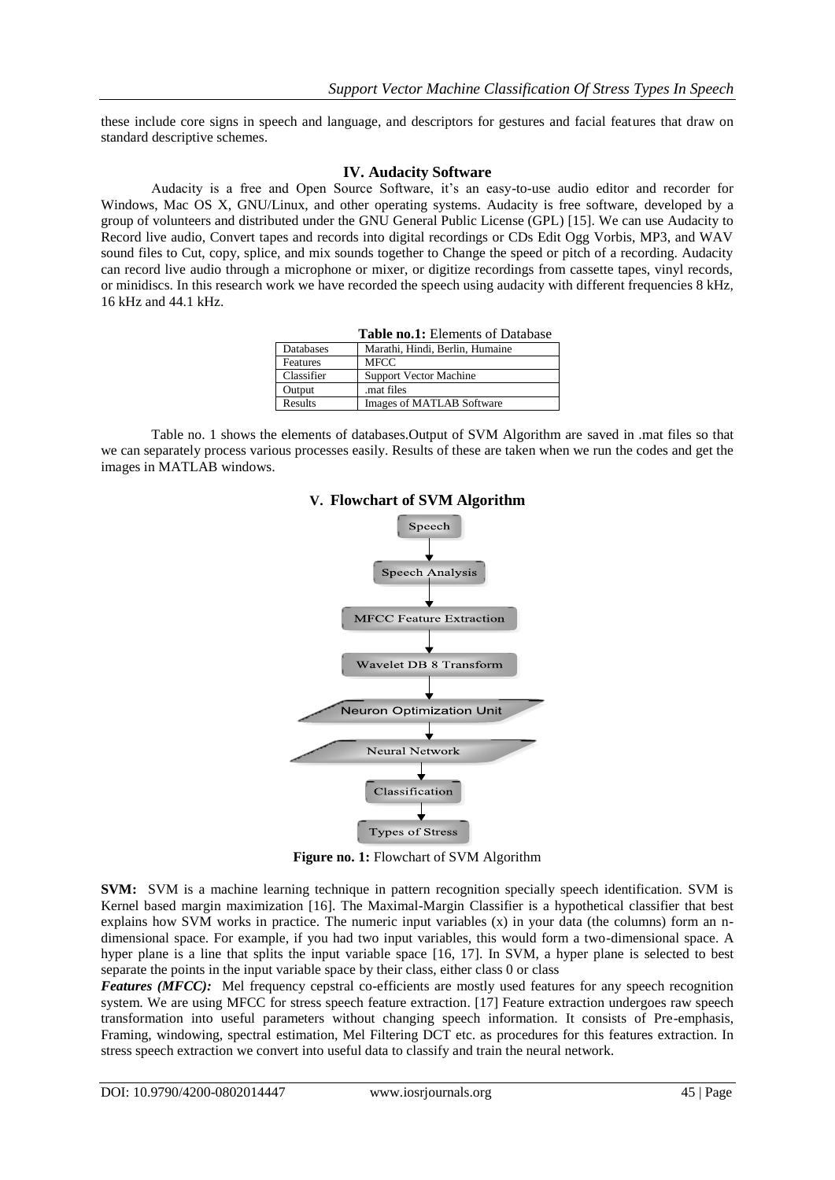these include core signs in speech and language, and descriptors for gestures and facial features that draw on standard descriptive schemes.

#### **IV. Audacity Software**

Audacity is a free and Open Source Software, it's an easy-to-use audio editor and recorder for Windows, Mac OS X, GNU/Linux, and other operating systems. Audacity is free software, developed by a group of volunteers and distributed under the GNU General Public License (GPL) [15]. We can use Audacity to Record live audio, Convert tapes and records into digital recordings or CDs Edit Ogg Vorbis, MP3, and WAV sound files to Cut, copy, splice, and mix sounds together to Change the speed or pitch of a recording. Audacity can record live audio through a microphone or mixer, or digitize recordings from cassette tapes, vinyl records, or minidiscs. In this research work we have recorded the speech using audacity with different frequencies 8 kHz, 16 kHz and 44.1 kHz.

| <b>Table no.1:</b> Elements of Database |                                 |
|-----------------------------------------|---------------------------------|
| Databases                               | Marathi, Hindi, Berlin, Humaine |
| Features                                | <b>MFCC</b>                     |
| Classifier                              | <b>Support Vector Machine</b>   |
| Output                                  | mat files                       |
| Results                                 | Images of MATLAB Software       |

Table no. 1 shows the elements of databases.Output of SVM Algorithm are saved in .mat files so that we can separately process various processes easily. Results of these are taken when we run the codes and get the images in MATLAB windows.



**V. Flowchart of SVM Algorithm**

**Figure no. 1:** Flowchart of SVM Algorithm

**SVM:** SVM is a machine learning technique in pattern recognition specially speech identification. SVM is Kernel based margin maximization [16]. The Maximal-Margin Classifier is a hypothetical classifier that best explains how SVM works in practice. The numeric input variables (x) in your data (the columns) form an ndimensional space. For example, if you had two input variables, this would form a two-dimensional space. A hyper plane is a line that splits the input variable space [16, 17]. In SVM, a hyper plane is selected to best separate the points in the input variable space by their class, either class 0 or class

*Features (MFCC)*: Mel frequency cepstral co-efficients are mostly used features for any speech recognition system. We are using MFCC for stress speech feature extraction. [17] Feature extraction undergoes raw speech transformation into useful parameters without changing speech information. It consists of Pre-emphasis, Framing, windowing, spectral estimation, Mel Filtering DCT etc. as procedures for this features extraction. In stress speech extraction we convert into useful data to classify and train the neural network.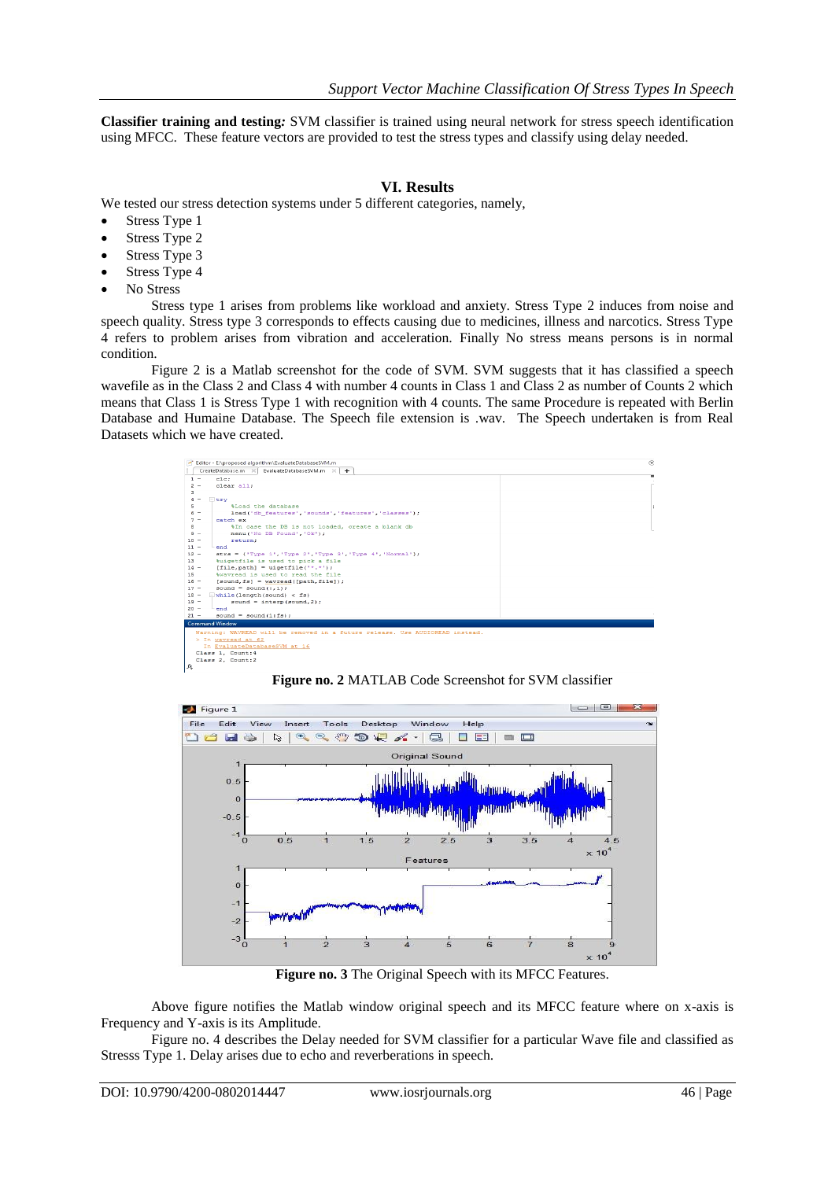**Classifier training and testing***:* SVM classifier is trained using neural network for stress speech identification using MFCC. These feature vectors are provided to test the stress types and classify using delay needed.

# **VI. Results**

We tested our stress detection systems under 5 different categories, namely,

- Stress Type 1
- Stress Type 2
- Stress Type 3
- Stress Type 4
- No Stress

Stress type 1 arises from problems like workload and anxiety. Stress Type 2 induces from noise and speech quality. Stress type 3 corresponds to effects causing due to medicines, illness and narcotics. Stress Type 4 refers to problem arises from vibration and acceleration. Finally No stress means persons is in normal condition.

Figure 2 is a Matlab screenshot for the code of SVM. SVM suggests that it has classified a speech wavefile as in the Class 2 and Class 4 with number 4 counts in Class 1 and Class 2 as number of Counts 2 which means that Class 1 is Stress Type 1 with recognition with 4 counts. The same Procedure is repeated with Berlin Database and Humaine Database. The Speech file extension is .wav. The Speech undertaken is from Real Datasets which we have created.



**Figure no. 2** MATLAB Code Screenshot for SVM classifier



**Figure no. 3** The Original Speech with its MFCC Features.

Above figure notifies the Matlab window original speech and its MFCC feature where on x-axis is Frequency and Y-axis is its Amplitude.

Figure no. 4 describes the Delay needed for SVM classifier for a particular Wave file and classified as Stresss Type 1. Delay arises due to echo and reverberations in speech.